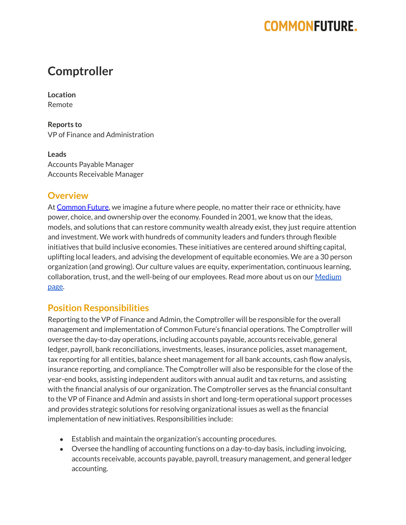## **COMMONFUTURE.**

### **Comptroller**

**Location** Remote

**Reports to** VP of Finance and Administration

**Leads** Accounts Payable Manager Accounts Receivable Manager

#### **Overview**

At [Common](https://www.commonfuture.co/) Future, we imagine a future where people, no matter their race or ethnicity, have power, choice, and ownership over the economy. Founded in 2001, we know that the ideas, models, and solutions that can restore community wealth already exist, they just require attention and investment. We work with hundreds of community leaders and funders through flexible initiatives that build inclusive economies. These initiatives are centered around shifting capital, uplifting local leaders, and advising the development of equitable economies. We are a 30 person organization (and growing). Our culture values are equity, experimentation, continuous learning, collaboration, trust, and the well-being of our employees. Read more about us on our [Medium](https://medium.com/commonfuture) [page](https://medium.com/commonfuture).

#### **Position Responsibilities**

Reporting to the VP of Finance and Admin, the Comptroller will be responsible for the overall management and implementation of Common Future's financial operations. The Comptroller will oversee the day-to-day operations, including accounts payable, accounts receivable, general ledger, payroll, bank reconciliations, investments, leases, insurance policies, asset management, tax reporting for all entities, balance sheet management for all bank accounts, cash flow analysis, insurance reporting, and compliance. The Comptroller will also be responsible for the close of the year-end books, assisting independent auditors with annual audit and tax returns, and assisting with the financial analysis of our organization. The Comptroller serves as the financial consultant to the VP of Finance and Admin and assists in short and long-term operational support processes and provides strategic solutions for resolving organizational issues as well as the financial implementation of new initiatives. Responsibilities include:

- Establish and maintain the organization's accounting procedures.
- Oversee the handling of accounting functions on a day-to-day basis, including invoicing, accounts receivable, accounts payable, payroll, treasury management, and general ledger accounting.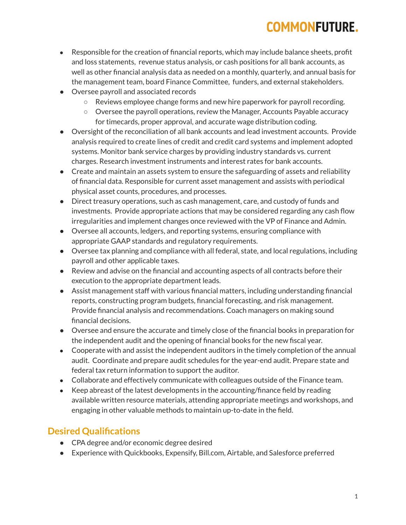# **COMMONFUTURE.**

- Responsible for the creation of financial reports, which may include balance sheets, profit and loss statements, revenue status analysis, or cash positions for all bank accounts, as well as other financial analysis data as needed on a monthly, quarterly, and annual basis for the management team, board Finance Committee, funders, and external stakeholders.
- Oversee payroll and associated records
	- Reviews employee change forms and new hire paperwork for payroll recording.
	- Oversee the payroll operations, review the Manager, Accounts Payable accuracy for timecards, proper approval, and accurate wage distribution coding.
- Oversight of the reconciliation of all bank accounts and lead investment accounts. Provide analysis required to create lines of credit and credit card systems and implement adopted systems. Monitor bank service charges by providing industry standards vs. current charges. Research investment instruments and interest rates for bank accounts.
- Create and maintain an assets system to ensure the safeguarding of assets and reliability of financial data. Responsible for current asset management and assists with periodical physical asset counts, procedures, and processes.
- Direct treasury operations, such as cash management, care, and custody of funds and investments. Provide appropriate actions that may be considered regarding any cash flow irregularities and implement changes once reviewed with the VP of Finance and Admin.
- Oversee all accounts, ledgers, and reporting systems, ensuring compliance with appropriate GAAP standards and regulatory requirements.
- Oversee tax planning and compliance with all federal, state, and local regulations, including payroll and other applicable taxes.
- Review and advise on the financial and accounting aspects of all contracts before their execution to the appropriate department leads.
- Assist management staff with various financial matters, including understanding financial reports, constructing program budgets, financial forecasting, and risk management. Provide financial analysis and recommendations. Coach managers on making sound financial decisions.
- Oversee and ensure the accurate and timely close of the financial books in preparation for the independent audit and the opening of financial books for the new fiscal year.
- Cooperate with and assist the independent auditors in the timely completion of the annual audit. Coordinate and prepare audit schedules for the year-end audit. Prepare state and federal tax return information to support the auditor.
- Collaborate and effectively communicate with colleagues outside of the Finance team.
- Keep abreast of the latest developments in the accounting/finance field by reading available written resource materials, attending appropriate meetings and workshops, and engaging in other valuable methods to maintain up-to-date in the field.

### **Desired Qualifications**

- CPA degree and/or economic degree desired
- Experience with Quickbooks, Expensify, Bill.com, Airtable, and Salesforce preferred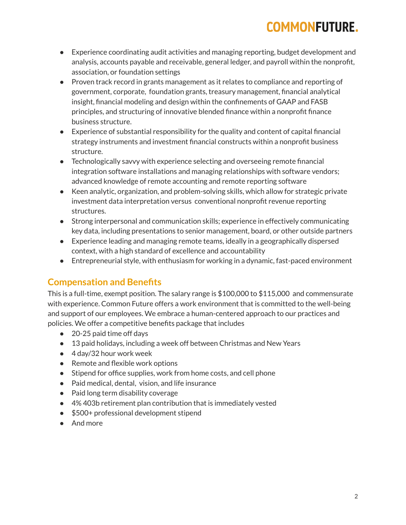# **COMMONFUTURE.**

- Experience coordinating audit activities and managing reporting, budget development and analysis, accounts payable and receivable, general ledger, and payroll within the nonprofit, association, or foundation settings
- Proven track record in grants management as it relates to compliance and reporting of government, corporate, foundation grants, treasury management, financial analytical insight, financial modeling and design within the confinements of GAAP and FASB principles, and structuring of innovative blended finance within a nonprofit finance business structure.
- Experience of substantial responsibility for the quality and content of capital financial strategy instruments and investment financial constructs within a nonprofit business structure.
- Technologically savvy with experience selecting and overseeing remote financial integration software installations and managing relationships with software vendors; advanced knowledge of remote accounting and remote reporting software
- Keen analytic, organization, and problem-solving skills, which allow for strategic private investment data interpretation versus conventional nonprofit revenue reporting structures.
- Strong interpersonal and communication skills; experience in effectively communicating key data, including presentations to senior management, board, or other outside partners
- Experience leading and managing remote teams, ideally in a geographically dispersed context, with a high standard of excellence and accountability
- Entrepreneurial style, with enthusiasm for working in a dynamic, fast-paced environment

### **Compensation and Benefits**

This is a full-time, exempt position. The salary range is \$100,000 to \$115,000 and commensurate with experience. Common Future offers a work environment that is committed to the well-being and support of our employees. We embrace a human-centered approach to our practices and policies. We offer a competitive benefits package that includes

- 20-25 paid time off days
- 13 paid holidays, including a week off between Christmas and New Years
- 4 day/32 hour work week
- Remote and flexible work options
- Stipend for office supplies, work from home costs, and cell phone
- Paid medical, dental, vision, and life insurance
- Paid long term disability coverage
- 4% 403b retirement plan contribution that is immediately vested
- \$500+ professional development stipend
- And more